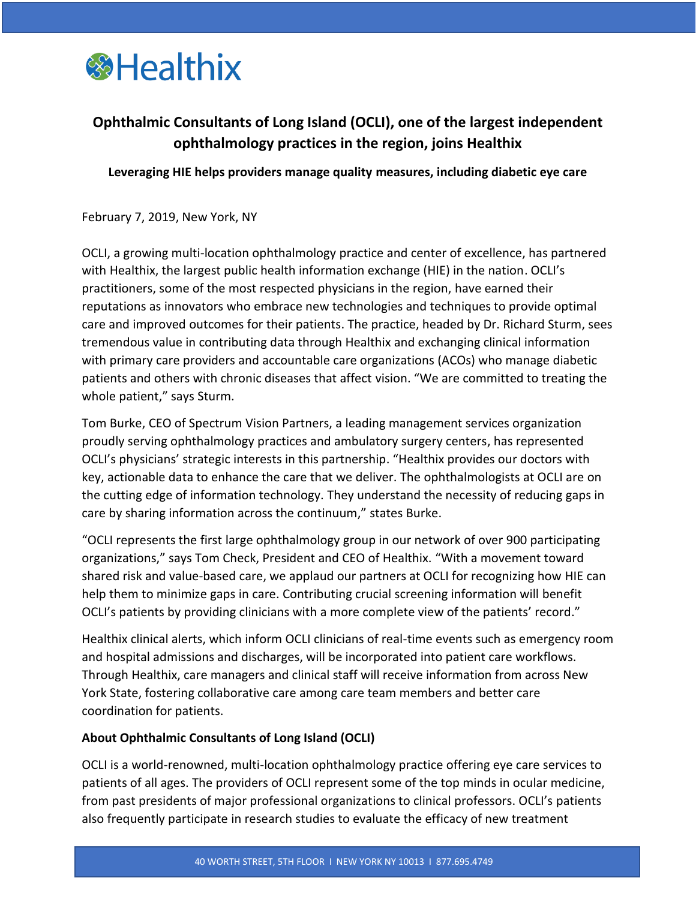

## **Ophthalmic Consultants of Long Island (OCLI), one of the largest independent ophthalmology practices in the region, joins Healthix**

**Leveraging HIE helps providers manage quality measures, including diabetic eye care**

February 7, 2019, New York, NY

OCLI, a growing multi-location ophthalmology practice and center of excellence, has partnered with Healthix, the largest public health information exchange (HIE) in the nation. OCLI's practitioners, some of the most respected physicians in the region, have earned their reputations as innovators who embrace new technologies and techniques to provide optimal care and improved outcomes for their patients. The practice, headed by Dr. Richard Sturm, sees tremendous value in contributing data through Healthix and exchanging clinical information with primary care providers and accountable care organizations (ACOs) who manage diabetic patients and others with chronic diseases that affect vision. "We are committed to treating the whole patient," says Sturm.

Tom Burke, CEO of Spectrum Vision Partners, a leading management services organization proudly serving ophthalmology practices and ambulatory surgery centers, has represented OCLI's physicians' strategic interests in this partnership. "Healthix provides our doctors with key, actionable data to enhance the care that we deliver. The ophthalmologists at OCLI are on the cutting edge of information technology. They understand the necessity of reducing gaps in care by sharing information across the continuum," states Burke.

"OCLI represents the first large ophthalmology group in our network of over 900 participating organizations," says Tom Check, President and CEO of Healthix. "With a movement toward shared risk and value-based care, we applaud our partners at OCLI for recognizing how HIE can help them to minimize gaps in care. Contributing crucial screening information will benefit OCLI's patients by providing clinicians with a more complete view of the patients' record."

Healthix clinical alerts, which inform OCLI clinicians of real-time events such as emergency room and hospital admissions and discharges, will be incorporated into patient care workflows. Through Healthix, care managers and clinical staff will receive information from across New York State, fostering collaborative care among care team members and better care coordination for patients.

## **About Ophthalmic Consultants of Long Island (OCLI)**

OCLI is a world-renowned, multi-location ophthalmology practice offering eye care services to patients of all ages. The providers of OCLI represent some of the top minds in ocular medicine, from past presidents of major professional organizations to clinical professors. OCLI's patients also frequently participate in research studies to evaluate the efficacy of new treatment